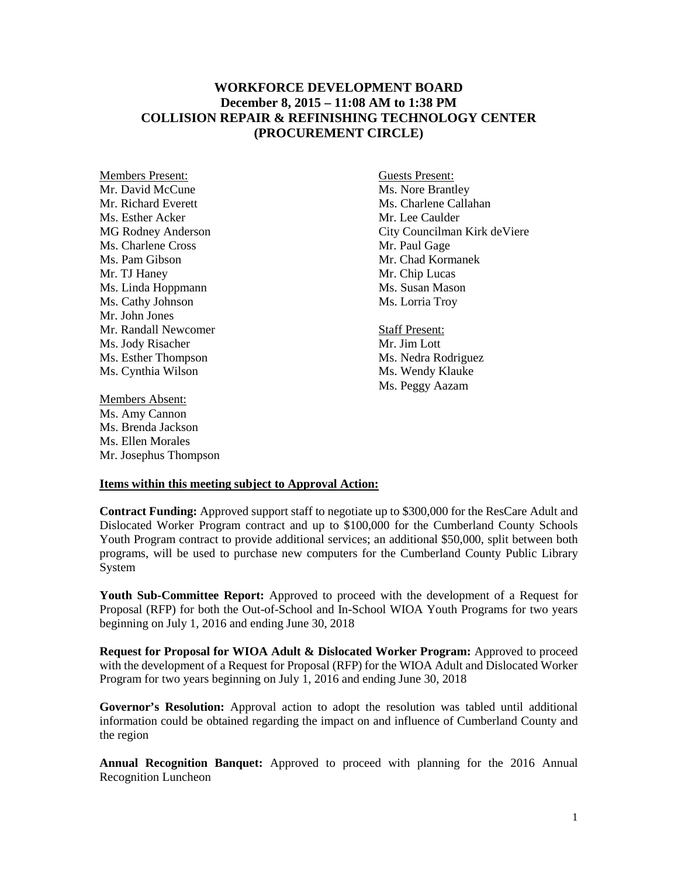## **WORKFORCE DEVELOPMENT BOARD December 8, 2015 – 11:08 AM to 1:38 PM COLLISION REPAIR & REFINISHING TECHNOLOGY CENTER (PROCUREMENT CIRCLE)**

Members Present:<br>
Mr. David McCune<br>
Mr. David McCune Mr. Richard Everett **Mr. Charlene Callahan** Ms. Esther Acker Mr. Lee Caulder Ms. Charlene Cross Mr. Paul Gage Ms. Pam Gibson Mr. Chad Kormanek Mr. TJ Haney<br>
Mr. Chip Lucas<br>
Ms. Linda Hoppmann<br>
Ms. Susan Mason Ms. Linda Hoppmann Ms. Cathy Johnson Ms. Lorria Troy Mr. John Jones Mr. Randall Newcomer Staff Present: Ms. Jody Risacher Mr. Jim Lott Ms. Esther Thompson Ms. Nedra Rodriguez Ms. Cynthia Wilson Ms. Wendy Klauke

Members Absent: Ms. Amy Cannon Ms. Brenda Jackson Ms. Ellen Morales Mr. Josephus Thompson

Ms. Nore Brantley MG Rodney Anderson City Councilman Kirk deViere

Ms. Peggy Aazam

## **Items within this meeting subject to Approval Action:**

**Contract Funding:** Approved support staff to negotiate up to \$300,000 for the ResCare Adult and Dislocated Worker Program contract and up to \$100,000 for the Cumberland County Schools Youth Program contract to provide additional services; an additional \$50,000, split between both programs, will be used to purchase new computers for the Cumberland County Public Library System

**Youth Sub-Committee Report:** Approved to proceed with the development of a Request for Proposal (RFP) for both the Out-of-School and In-School WIOA Youth Programs for two years beginning on July 1, 2016 and ending June 30, 2018

**Request for Proposal for WIOA Adult & Dislocated Worker Program:** Approved to proceed with the development of a Request for Proposal (RFP) for the WIOA Adult and Dislocated Worker Program for two years beginning on July 1, 2016 and ending June 30, 2018

**Governor's Resolution:** Approval action to adopt the resolution was tabled until additional information could be obtained regarding the impact on and influence of Cumberland County and the region

**Annual Recognition Banquet:** Approved to proceed with planning for the 2016 Annual Recognition Luncheon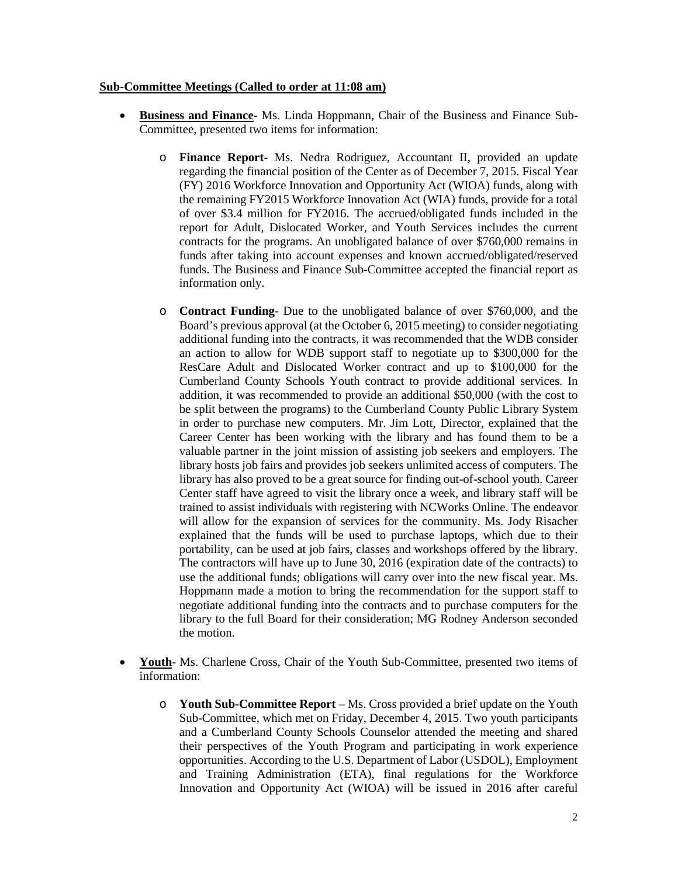## **Sub-Committee Meetings (Called to order at 11:08 am)**

- **Business and Finance-** Ms. Linda Hoppmann, Chair of the Business and Finance Sub-Committee, presented two items for information:
	- o **Finance Report** Ms. Nedra Rodriguez, Accountant II, provided an update regarding the financial position of the Center as of December 7, 2015. Fiscal Year (FY) 2016 Workforce Innovation and Opportunity Act (WIOA) funds, along with the remaining FY2015 Workforce Innovation Act (WIA) funds, provide for a total of over \$3.4 million for FY2016. The accrued/obligated funds included in the report for Adult, Dislocated Worker, and Youth Services includes the current contracts for the programs. An unobligated balance of over \$760,000 remains in funds after taking into account expenses and known accrued/obligated/reserved funds. The Business and Finance Sub-Committee accepted the financial report as information only.
	- o **Contract Funding** Due to the unobligated balance of over \$760,000, and the Board's previous approval (at the October 6, 2015 meeting) to consider negotiating additional funding into the contracts, it was recommended that the WDB consider an action to allow for WDB support staff to negotiate up to \$300,000 for the ResCare Adult and Dislocated Worker contract and up to \$100,000 for the Cumberland County Schools Youth contract to provide additional services. In addition, it was recommended to provide an additional \$50,000 (with the cost to be split between the programs) to the Cumberland County Public Library System in order to purchase new computers. Mr. Jim Lott, Director, explained that the Career Center has been working with the library and has found them to be a valuable partner in the joint mission of assisting job seekers and employers. The library hosts job fairs and provides job seekers unlimited access of computers. The library has also proved to be a great source for finding out-of-school youth. Career Center staff have agreed to visit the library once a week, and library staff will be trained to assist individuals with registering with NCWorks Online. The endeavor will allow for the expansion of services for the community. Ms. Jody Risacher explained that the funds will be used to purchase laptops, which due to their portability, can be used at job fairs, classes and workshops offered by the library. The contractors will have up to June 30, 2016 (expiration date of the contracts) to use the additional funds; obligations will carry over into the new fiscal year. Ms. Hoppmann made a motion to bring the recommendation for the support staff to negotiate additional funding into the contracts and to purchase computers for the library to the full Board for their consideration; MG Rodney Anderson seconded the motion.
- **Youth** Ms. Charlene Cross, Chair of the Youth Sub-Committee, presented two items of information:
	- o **Youth Sub-Committee Report** Ms. Cross provided a brief update on the Youth Sub-Committee, which met on Friday, December 4, 2015. Two youth participants and a Cumberland County Schools Counselor attended the meeting and shared their perspectives of the Youth Program and participating in work experience opportunities. According to the U.S. Department of Labor (USDOL), Employment and Training Administration (ETA), final regulations for the Workforce Innovation and Opportunity Act (WIOA) will be issued in 2016 after careful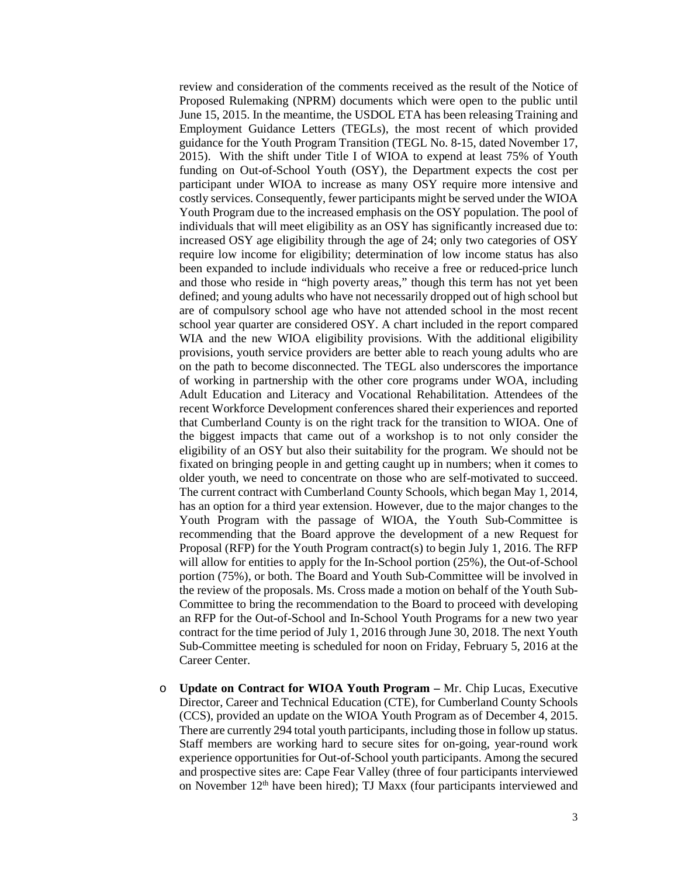review and consideration of the comments received as the result of the Notice of Proposed Rulemaking (NPRM) documents which were open to the public until June 15, 2015. In the meantime, the USDOL ETA has been releasing Training and Employment Guidance Letters (TEGLs), the most recent of which provided guidance for the Youth Program Transition (TEGL No. 8-15, dated November 17, 2015). With the shift under Title I of WIOA to expend at least 75% of Youth funding on Out-of-School Youth (OSY), the Department expects the cost per participant under WIOA to increase as many OSY require more intensive and costly services. Consequently, fewer participants might be served under the WIOA Youth Program due to the increased emphasis on the OSY population. The pool of individuals that will meet eligibility as an OSY has significantly increased due to: increased OSY age eligibility through the age of 24; only two categories of OSY require low income for eligibility; determination of low income status has also been expanded to include individuals who receive a free or reduced-price lunch and those who reside in "high poverty areas," though this term has not yet been defined; and young adults who have not necessarily dropped out of high school but are of compulsory school age who have not attended school in the most recent school year quarter are considered OSY. A chart included in the report compared WIA and the new WIOA eligibility provisions. With the additional eligibility provisions, youth service providers are better able to reach young adults who are on the path to become disconnected. The TEGL also underscores the importance of working in partnership with the other core programs under WOA, including Adult Education and Literacy and Vocational Rehabilitation. Attendees of the recent Workforce Development conferences shared their experiences and reported that Cumberland County is on the right track for the transition to WIOA. One of the biggest impacts that came out of a workshop is to not only consider the eligibility of an OSY but also their suitability for the program. We should not be fixated on bringing people in and getting caught up in numbers; when it comes to older youth, we need to concentrate on those who are self-motivated to succeed. The current contract with Cumberland County Schools, which began May 1, 2014, has an option for a third year extension. However, due to the major changes to the Youth Program with the passage of WIOA, the Youth Sub-Committee is recommending that the Board approve the development of a new Request for Proposal (RFP) for the Youth Program contract(s) to begin July 1, 2016. The RFP will allow for entities to apply for the In-School portion (25%), the Out-of-School portion (75%), or both. The Board and Youth Sub-Committee will be involved in the review of the proposals. Ms. Cross made a motion on behalf of the Youth Sub-Committee to bring the recommendation to the Board to proceed with developing an RFP for the Out-of-School and In-School Youth Programs for a new two year contract for the time period of July 1, 2016 through June 30, 2018. The next Youth Sub-Committee meeting is scheduled for noon on Friday, February 5, 2016 at the Career Center.

o **Update on Contract for WIOA Youth Program –** Mr. Chip Lucas, Executive Director, Career and Technical Education (CTE), for Cumberland County Schools (CCS), provided an update on the WIOA Youth Program as of December 4, 2015. There are currently 294 total youth participants, including those in follow up status. Staff members are working hard to secure sites for on-going, year-round work experience opportunities for Out-of-School youth participants. Among the secured and prospective sites are: Cape Fear Valley (three of four participants interviewed on November 12th have been hired); TJ Maxx (four participants interviewed and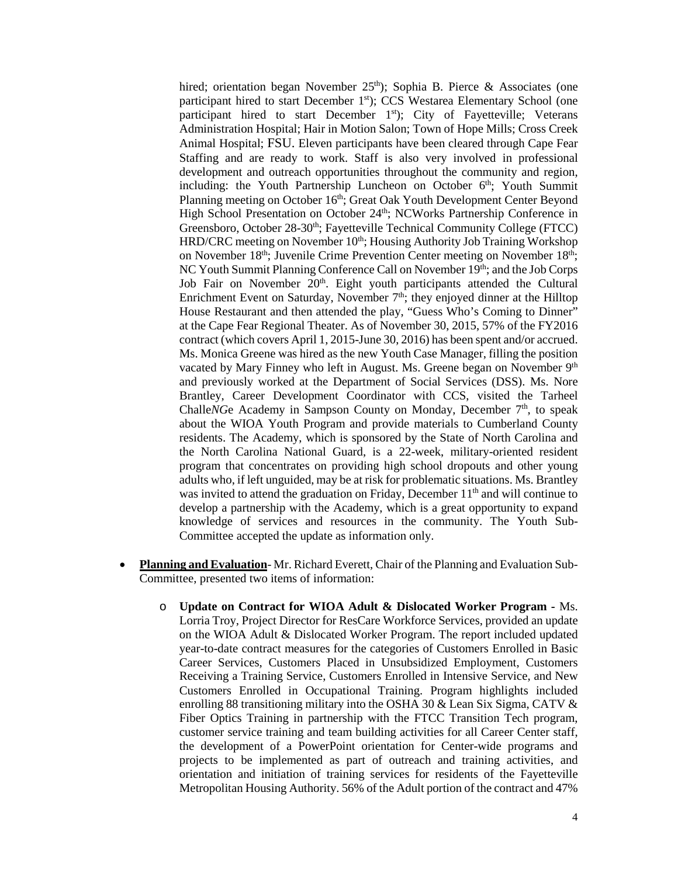hired; orientation began November  $25<sup>th</sup>$ ); Sophia B. Pierce & Associates (one participant hired to start December 1st); CCS Westarea Elementary School (one participant hired to start December 1<sup>st</sup>); City of Fayetteville; Veterans Administration Hospital; Hair in Motion Salon; Town of Hope Mills; Cross Creek Animal Hospital; FSU. Eleven participants have been cleared through Cape Fear Staffing and are ready to work. Staff is also very involved in professional development and outreach opportunities throughout the community and region, including: the Youth Partnership Luncheon on October  $6<sup>th</sup>$ ; Youth Summit Planning meeting on October 16<sup>th</sup>; Great Oak Youth Development Center Beyond High School Presentation on October 24<sup>th</sup>; NCWorks Partnership Conference in Greensboro, October 28-30<sup>th</sup>; Fayetteville Technical Community College (FTCC) HRD/CRC meeting on November 10<sup>th</sup>; Housing Authority Job Training Workshop on November 18<sup>th</sup>; Juvenile Crime Prevention Center meeting on November 18<sup>th</sup>; NC Youth Summit Planning Conference Call on November 19th; and the Job Corps Job Fair on November 20<sup>th</sup>. Eight youth participants attended the Cultural Enrichment Event on Saturday, November  $7<sup>th</sup>$ ; they enjoyed dinner at the Hilltop House Restaurant and then attended the play, "Guess Who's Coming to Dinner" at the Cape Fear Regional Theater. As of November 30, 2015, 57% of the FY2016 contract (which covers April 1, 2015-June 30, 2016) has been spent and/or accrued. Ms. Monica Greene was hired as the new Youth Case Manager, filling the position vacated by Mary Finney who left in August. Ms. Greene began on November 9<sup>th</sup> and previously worked at the Department of Social Services (DSS). Ms. Nore Brantley, Career Development Coordinator with CCS, visited the Tarheel Challe*NG*e Academy in Sampson County on Monday, December 7<sup>th</sup>, to speak about the WIOA Youth Program and provide materials to Cumberland County residents. The Academy, which is sponsored by the State of North Carolina and the North Carolina National Guard, is a 22-week, military-oriented resident program that concentrates on providing high school dropouts and other young adults who, if left unguided, may be at risk for problematic situations. Ms. Brantley was invited to attend the graduation on Friday, December  $11<sup>th</sup>$  and will continue to develop a partnership with the Academy, which is a great opportunity to expand knowledge of services and resources in the community. The Youth Sub-Committee accepted the update as information only.

- **Planning and Evaluation** Mr. Richard Everett, Chair of the Planning and Evaluation Sub-Committee, presented two items of information:
	- o **Update on Contract for WIOA Adult & Dislocated Worker Program -** Ms. Lorria Troy, Project Director for ResCare Workforce Services, provided an update on the WIOA Adult & Dislocated Worker Program. The report included updated year-to-date contract measures for the categories of Customers Enrolled in Basic Career Services, Customers Placed in Unsubsidized Employment, Customers Receiving a Training Service, Customers Enrolled in Intensive Service, and New Customers Enrolled in Occupational Training. Program highlights included enrolling 88 transitioning military into the OSHA 30 & Lean Six Sigma, CATV & Fiber Optics Training in partnership with the FTCC Transition Tech program, customer service training and team building activities for all Career Center staff, the development of a PowerPoint orientation for Center-wide programs and projects to be implemented as part of outreach and training activities, and orientation and initiation of training services for residents of the Fayetteville Metropolitan Housing Authority. 56% of the Adult portion of the contract and 47%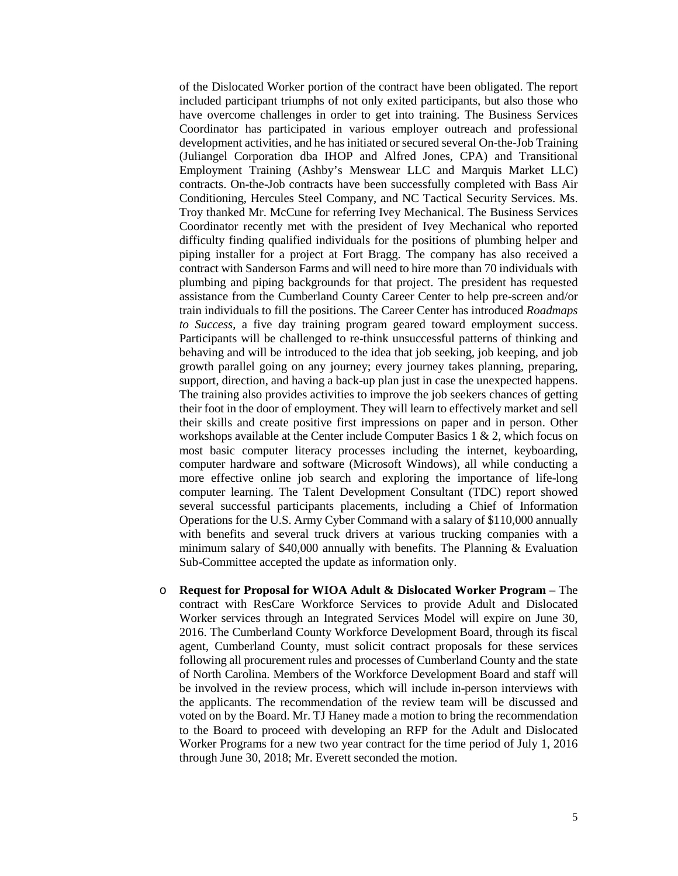of the Dislocated Worker portion of the contract have been obligated. The report included participant triumphs of not only exited participants, but also those who have overcome challenges in order to get into training. The Business Services Coordinator has participated in various employer outreach and professional development activities, and he has initiated or secured several On-the-Job Training (Juliangel Corporation dba IHOP and Alfred Jones, CPA) and Transitional Employment Training (Ashby's Menswear LLC and Marquis Market LLC) contracts. On-the-Job contracts have been successfully completed with Bass Air Conditioning, Hercules Steel Company, and NC Tactical Security Services. Ms. Troy thanked Mr. McCune for referring Ivey Mechanical. The Business Services Coordinator recently met with the president of Ivey Mechanical who reported difficulty finding qualified individuals for the positions of plumbing helper and piping installer for a project at Fort Bragg. The company has also received a contract with Sanderson Farms and will need to hire more than 70 individuals with plumbing and piping backgrounds for that project. The president has requested assistance from the Cumberland County Career Center to help pre-screen and/or train individuals to fill the positions. The Career Center has introduced *Roadmaps to Success*, a five day training program geared toward employment success. Participants will be challenged to re-think unsuccessful patterns of thinking and behaving and will be introduced to the idea that job seeking, job keeping, and job growth parallel going on any journey; every journey takes planning, preparing, support, direction, and having a back-up plan just in case the unexpected happens. The training also provides activities to improve the job seekers chances of getting their foot in the door of employment. They will learn to effectively market and sell their skills and create positive first impressions on paper and in person. Other workshops available at the Center include Computer Basics 1  $\&$  2, which focus on most basic computer literacy processes including the internet, keyboarding, computer hardware and software (Microsoft Windows), all while conducting a more effective online job search and exploring the importance of life-long computer learning. The Talent Development Consultant (TDC) report showed several successful participants placements, including a Chief of Information Operations for the U.S. Army Cyber Command with a salary of \$110,000 annually with benefits and several truck drivers at various trucking companies with a minimum salary of \$40,000 annually with benefits. The Planning & Evaluation Sub-Committee accepted the update as information only.

o **Request for Proposal for WIOA Adult & Dislocated Worker Program** – The contract with ResCare Workforce Services to provide Adult and Dislocated Worker services through an Integrated Services Model will expire on June 30, 2016. The Cumberland County Workforce Development Board, through its fiscal agent, Cumberland County, must solicit contract proposals for these services following all procurement rules and processes of Cumberland County and the state of North Carolina. Members of the Workforce Development Board and staff will be involved in the review process, which will include in-person interviews with the applicants. The recommendation of the review team will be discussed and voted on by the Board. Mr. TJ Haney made a motion to bring the recommendation to the Board to proceed with developing an RFP for the Adult and Dislocated Worker Programs for a new two year contract for the time period of July 1, 2016 through June 30, 2018; Mr. Everett seconded the motion.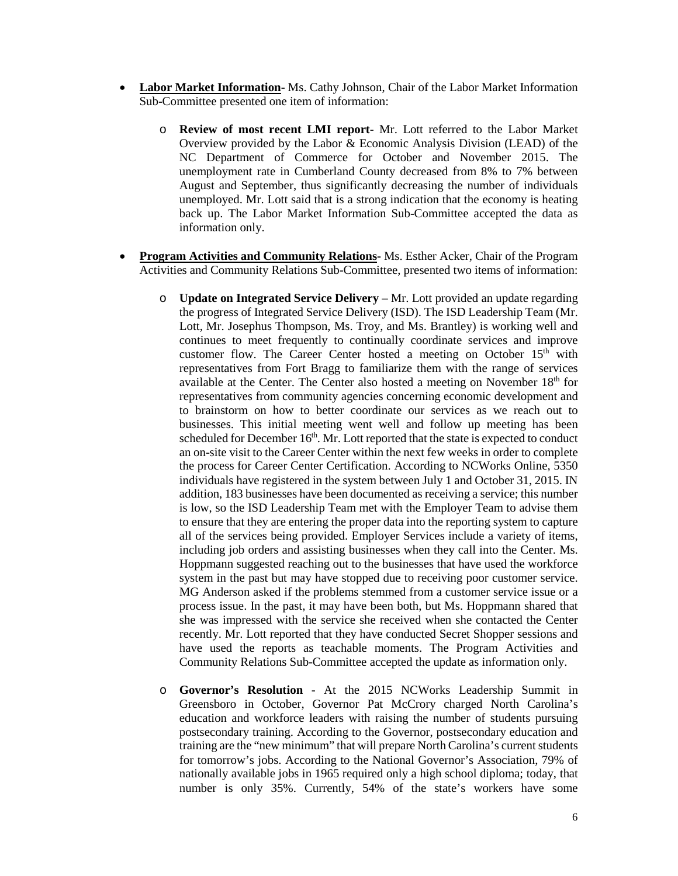- **Labor Market Information** Ms. Cathy Johnson, Chair of the Labor Market Information Sub-Committee presented one item of information:
	- o **Review of most recent LMI report** Mr. Lott referred to the Labor Market Overview provided by the Labor & Economic Analysis Division (LEAD) of the NC Department of Commerce for October and November 2015. The unemployment rate in Cumberland County decreased from 8% to 7% between August and September, thus significantly decreasing the number of individuals unemployed. Mr. Lott said that is a strong indication that the economy is heating back up. The Labor Market Information Sub-Committee accepted the data as information only.
- **Program Activities and Community Relations-** Ms. Esther Acker, Chair of the Program Activities and Community Relations Sub-Committee, presented two items of information:
	- o **Update on Integrated Service Delivery** Mr. Lott provided an update regarding the progress of Integrated Service Delivery (ISD). The ISD Leadership Team (Mr. Lott, Mr. Josephus Thompson, Ms. Troy, and Ms. Brantley) is working well and continues to meet frequently to continually coordinate services and improve customer flow. The Career Center hosted a meeting on October 15<sup>th</sup> with representatives from Fort Bragg to familiarize them with the range of services available at the Center. The Center also hosted a meeting on November  $18<sup>th</sup>$  for representatives from community agencies concerning economic development and to brainstorm on how to better coordinate our services as we reach out to businesses. This initial meeting went well and follow up meeting has been scheduled for December  $16<sup>th</sup>$ . Mr. Lott reported that the state is expected to conduct an on-site visit to the Career Center within the next few weeks in order to complete the process for Career Center Certification. According to NCWorks Online, 5350 individuals have registered in the system between July 1 and October 31, 2015. IN addition, 183 businesses have been documented as receiving a service; this number is low, so the ISD Leadership Team met with the Employer Team to advise them to ensure that they are entering the proper data into the reporting system to capture all of the services being provided. Employer Services include a variety of items, including job orders and assisting businesses when they call into the Center. Ms. Hoppmann suggested reaching out to the businesses that have used the workforce system in the past but may have stopped due to receiving poor customer service. MG Anderson asked if the problems stemmed from a customer service issue or a process issue. In the past, it may have been both, but Ms. Hoppmann shared that she was impressed with the service she received when she contacted the Center recently. Mr. Lott reported that they have conducted Secret Shopper sessions and have used the reports as teachable moments. The Program Activities and Community Relations Sub-Committee accepted the update as information only.
	- o **Governor's Resolution** At the 2015 NCWorks Leadership Summit in Greensboro in October, Governor Pat McCrory charged North Carolina's education and workforce leaders with raising the number of students pursuing postsecondary training. According to the Governor, postsecondary education and training are the "new minimum" that will prepare North Carolina's current students for tomorrow's jobs. According to the National Governor's Association, 79% of nationally available jobs in 1965 required only a high school diploma; today, that number is only 35%. Currently, 54% of the state's workers have some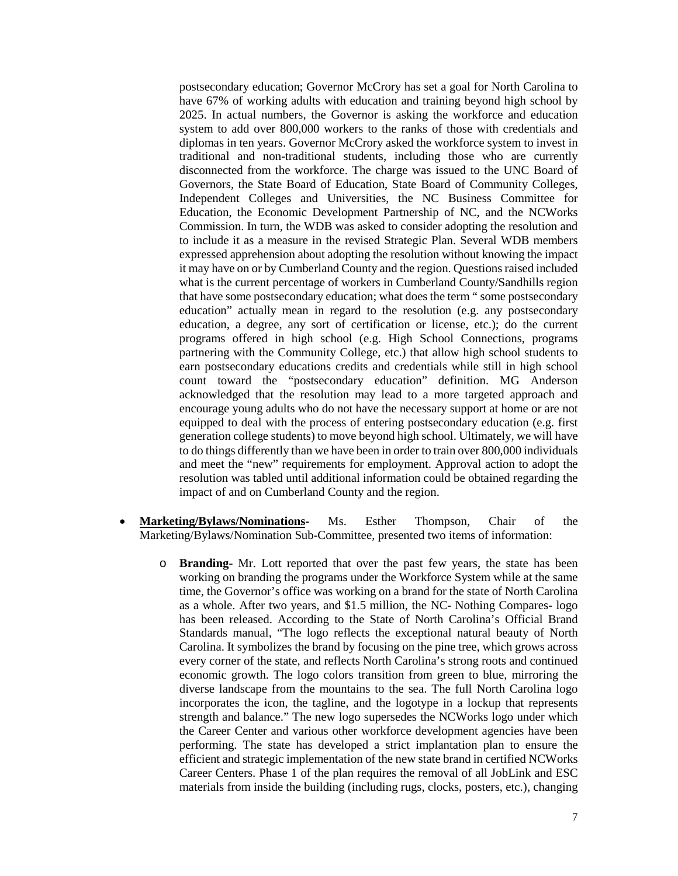postsecondary education; Governor McCrory has set a goal for North Carolina to have 67% of working adults with education and training beyond high school by 2025. In actual numbers, the Governor is asking the workforce and education system to add over 800,000 workers to the ranks of those with credentials and diplomas in ten years. Governor McCrory asked the workforce system to invest in traditional and non-traditional students, including those who are currently disconnected from the workforce. The charge was issued to the UNC Board of Governors, the State Board of Education, State Board of Community Colleges, Independent Colleges and Universities, the NC Business Committee for Education, the Economic Development Partnership of NC, and the NCWorks Commission. In turn, the WDB was asked to consider adopting the resolution and to include it as a measure in the revised Strategic Plan. Several WDB members expressed apprehension about adopting the resolution without knowing the impact it may have on or by Cumberland County and the region. Questions raised included what is the current percentage of workers in Cumberland County/Sandhills region that have some postsecondary education; what does the term " some postsecondary education" actually mean in regard to the resolution (e.g. any postsecondary education, a degree, any sort of certification or license, etc.); do the current programs offered in high school (e.g. High School Connections, programs partnering with the Community College, etc.) that allow high school students to earn postsecondary educations credits and credentials while still in high school count toward the "postsecondary education" definition. MG Anderson acknowledged that the resolution may lead to a more targeted approach and encourage young adults who do not have the necessary support at home or are not equipped to deal with the process of entering postsecondary education (e.g. first generation college students) to move beyond high school. Ultimately, we will have to do things differently than we have been in order to train over 800,000 individuals and meet the "new" requirements for employment. Approval action to adopt the resolution was tabled until additional information could be obtained regarding the impact of and on Cumberland County and the region.

- **Marketing/Bylaws/Nominations-** Ms. Esther Thompson, Chair of the Marketing/Bylaws/Nomination Sub-Committee, presented two items of information:
	- o **Branding** Mr. Lott reported that over the past few years, the state has been working on branding the programs under the Workforce System while at the same time, the Governor's office was working on a brand for the state of North Carolina as a whole. After two years, and \$1.5 million, the NC- Nothing Compares- logo has been released. According to the State of North Carolina's Official Brand Standards manual, "The logo reflects the exceptional natural beauty of North Carolina. It symbolizes the brand by focusing on the pine tree, which grows across every corner of the state, and reflects North Carolina's strong roots and continued economic growth. The logo colors transition from green to blue, mirroring the diverse landscape from the mountains to the sea. The full North Carolina logo incorporates the icon, the tagline, and the logotype in a lockup that represents strength and balance." The new logo supersedes the NCWorks logo under which the Career Center and various other workforce development agencies have been performing. The state has developed a strict implantation plan to ensure the efficient and strategic implementation of the new state brand in certified NCWorks Career Centers. Phase 1 of the plan requires the removal of all JobLink and ESC materials from inside the building (including rugs, clocks, posters, etc.), changing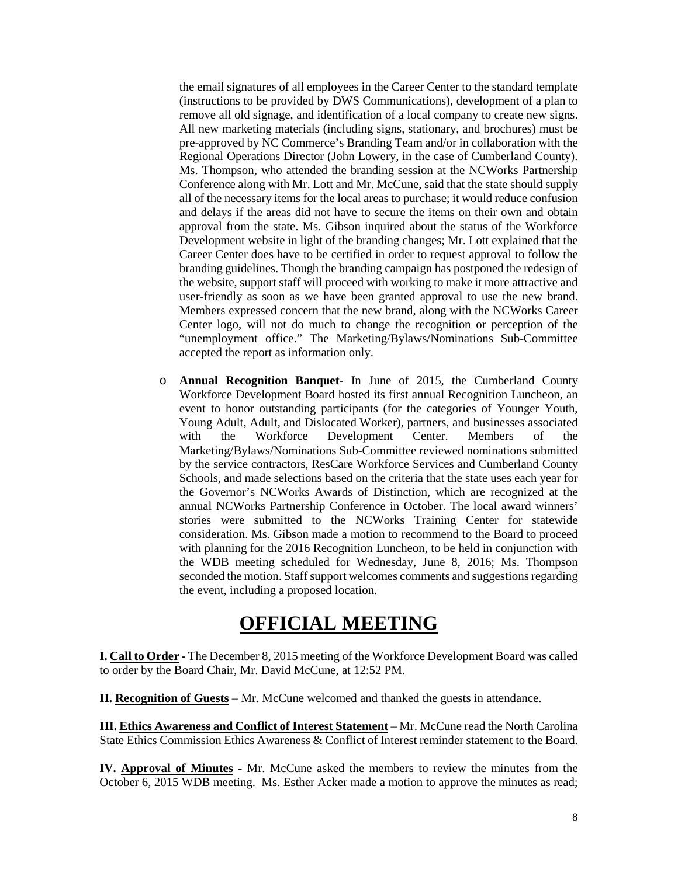the email signatures of all employees in the Career Center to the standard template (instructions to be provided by DWS Communications), development of a plan to remove all old signage, and identification of a local company to create new signs. All new marketing materials (including signs, stationary, and brochures) must be pre-approved by NC Commerce's Branding Team and/or in collaboration with the Regional Operations Director (John Lowery, in the case of Cumberland County). Ms. Thompson, who attended the branding session at the NCWorks Partnership Conference along with Mr. Lott and Mr. McCune, said that the state should supply all of the necessary items for the local areas to purchase; it would reduce confusion and delays if the areas did not have to secure the items on their own and obtain approval from the state. Ms. Gibson inquired about the status of the Workforce Development website in light of the branding changes; Mr. Lott explained that the Career Center does have to be certified in order to request approval to follow the branding guidelines. Though the branding campaign has postponed the redesign of the website, support staff will proceed with working to make it more attractive and user-friendly as soon as we have been granted approval to use the new brand. Members expressed concern that the new brand, along with the NCWorks Career Center logo, will not do much to change the recognition or perception of the "unemployment office." The Marketing/Bylaws/Nominations Sub-Committee accepted the report as information only.

o **Annual Recognition Banquet**- In June of 2015, the Cumberland County Workforce Development Board hosted its first annual Recognition Luncheon, an event to honor outstanding participants (for the categories of Younger Youth, Young Adult, Adult, and Dislocated Worker), partners, and businesses associated with the Workforce Development Center. Members of the Marketing/Bylaws/Nominations Sub-Committee reviewed nominations submitted by the service contractors, ResCare Workforce Services and Cumberland County Schools, and made selections based on the criteria that the state uses each year for the Governor's NCWorks Awards of Distinction, which are recognized at the annual NCWorks Partnership Conference in October. The local award winners' stories were submitted to the NCWorks Training Center for statewide consideration. Ms. Gibson made a motion to recommend to the Board to proceed with planning for the 2016 Recognition Luncheon, to be held in conjunction with the WDB meeting scheduled for Wednesday, June 8, 2016; Ms. Thompson seconded the motion. Staff support welcomes comments and suggestions regarding the event, including a proposed location.

## **OFFICIAL MEETING**

**I. Call to Order -** The December 8, 2015 meeting of the Workforce Development Board was called to order by the Board Chair, Mr. David McCune, at 12:52 PM.

**II. Recognition of Guests** – Mr. McCune welcomed and thanked the guests in attendance.

**III. Ethics Awareness and Conflict of Interest Statement** – Mr. McCune read the North Carolina State Ethics Commission Ethics Awareness & Conflict of Interest reminder statement to the Board.

**IV. Approval of Minutes -** Mr. McCune asked the members to review the minutes from the October 6, 2015 WDB meeting. Ms. Esther Acker made a motion to approve the minutes as read;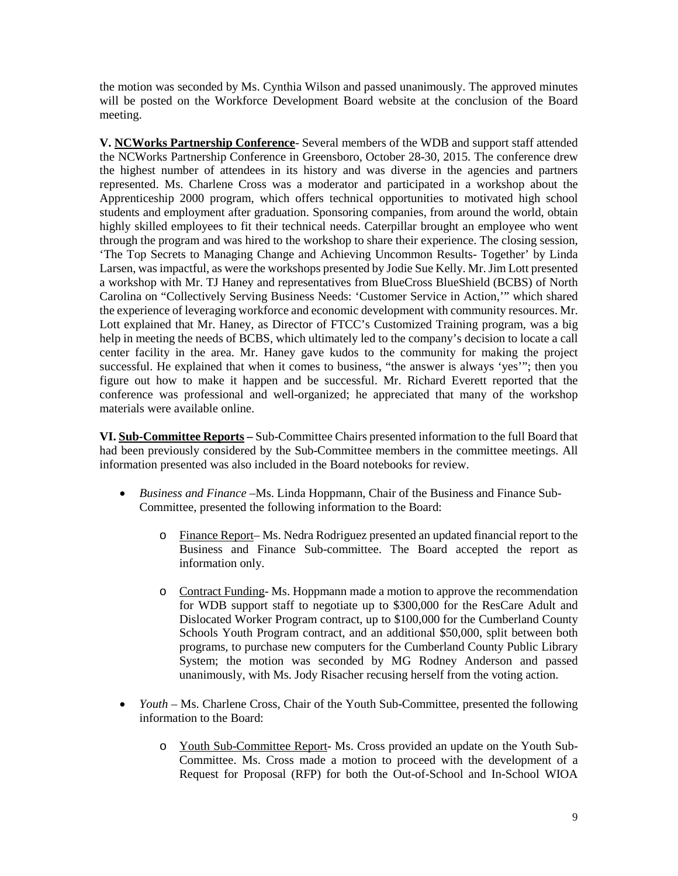the motion was seconded by Ms. Cynthia Wilson and passed unanimously. The approved minutes will be posted on the Workforce Development Board website at the conclusion of the Board meeting.

**V. NCWorks Partnership Conference**- Several members of the WDB and support staff attended the NCWorks Partnership Conference in Greensboro, October 28-30, 2015. The conference drew the highest number of attendees in its history and was diverse in the agencies and partners represented. Ms. Charlene Cross was a moderator and participated in a workshop about the Apprenticeship 2000 program, which offers technical opportunities to motivated high school students and employment after graduation. Sponsoring companies, from around the world, obtain highly skilled employees to fit their technical needs. Caterpillar brought an employee who went through the program and was hired to the workshop to share their experience. The closing session, 'The Top Secrets to Managing Change and Achieving Uncommon Results- Together' by Linda Larsen, was impactful, as were the workshops presented by Jodie Sue Kelly. Mr. Jim Lott presented a workshop with Mr. TJ Haney and representatives from BlueCross BlueShield (BCBS) of North Carolina on "Collectively Serving Business Needs: 'Customer Service in Action,'" which shared the experience of leveraging workforce and economic development with community resources. Mr. Lott explained that Mr. Haney, as Director of FTCC's Customized Training program, was a big help in meeting the needs of BCBS, which ultimately led to the company's decision to locate a call center facility in the area. Mr. Haney gave kudos to the community for making the project successful. He explained that when it comes to business, "the answer is always 'yes'"; then you figure out how to make it happen and be successful. Mr. Richard Everett reported that the conference was professional and well-organized; he appreciated that many of the workshop materials were available online.

**VI. Sub-Committee Reports –** Sub-Committee Chairs presented information to the full Board that had been previously considered by the Sub-Committee members in the committee meetings. All information presented was also included in the Board notebooks for review.

- *Business and Finance –*Ms. Linda Hoppmann, Chair of the Business and Finance Sub-Committee, presented the following information to the Board:
	- o Finance Report– Ms. Nedra Rodriguez presented an updated financial report to the Business and Finance Sub-committee. The Board accepted the report as information only.
	- o Contract Funding- Ms. Hoppmann made a motion to approve the recommendation for WDB support staff to negotiate up to \$300,000 for the ResCare Adult and Dislocated Worker Program contract, up to \$100,000 for the Cumberland County Schools Youth Program contract, and an additional \$50,000, split between both programs, to purchase new computers for the Cumberland County Public Library System; the motion was seconded by MG Rodney Anderson and passed unanimously, with Ms. Jody Risacher recusing herself from the voting action.
- *Youth* Ms. Charlene Cross, Chair of the Youth Sub-Committee, presented the following information to the Board:
	- o Youth Sub-Committee Report- Ms. Cross provided an update on the Youth Sub-Committee. Ms. Cross made a motion to proceed with the development of a Request for Proposal (RFP) for both the Out-of-School and In-School WIOA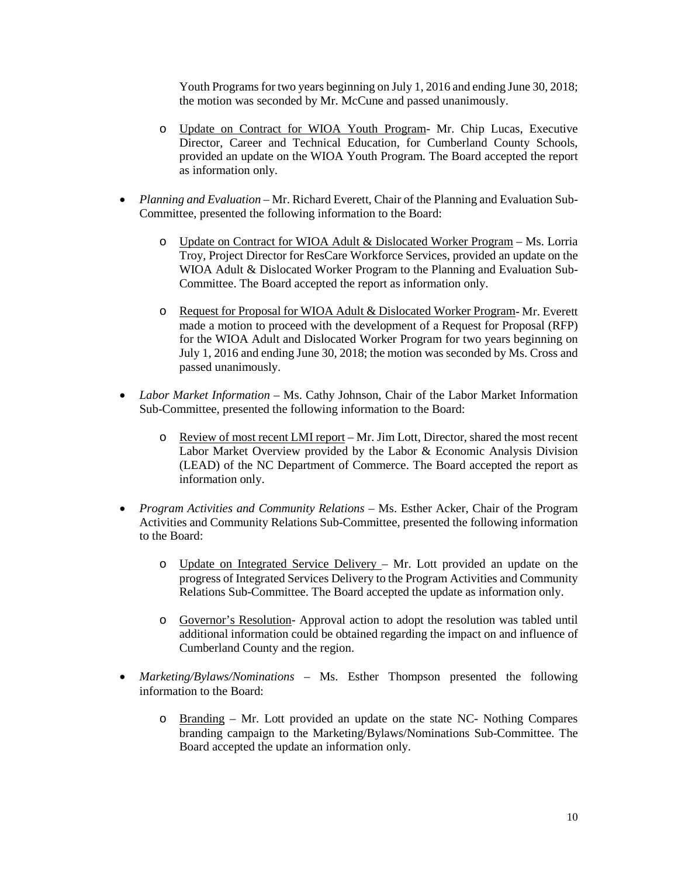Youth Programs for two years beginning on July 1, 2016 and ending June 30, 2018; the motion was seconded by Mr. McCune and passed unanimously.

- o Update on Contract for WIOA Youth Program- Mr. Chip Lucas, Executive Director, Career and Technical Education, for Cumberland County Schools, provided an update on the WIOA Youth Program. The Board accepted the report as information only.
- *Planning and Evaluation* Mr. Richard Everett, Chair of the Planning and Evaluation Sub-Committee, presented the following information to the Board:
	- o Update on Contract for WIOA Adult & Dislocated Worker Program Ms. Lorria Troy, Project Director for ResCare Workforce Services, provided an update on the WIOA Adult & Dislocated Worker Program to the Planning and Evaluation Sub-Committee. The Board accepted the report as information only.
	- o Request for Proposal for WIOA Adult & Dislocated Worker Program- Mr. Everett made a motion to proceed with the development of a Request for Proposal (RFP) for the WIOA Adult and Dislocated Worker Program for two years beginning on July 1, 2016 and ending June 30, 2018; the motion was seconded by Ms. Cross and passed unanimously.
- *Labor Market Information* Ms. Cathy Johnson, Chair of the Labor Market Information Sub-Committee, presented the following information to the Board:
	- o Review of most recent LMI report Mr. Jim Lott, Director, shared the most recent Labor Market Overview provided by the Labor & Economic Analysis Division (LEAD) of the NC Department of Commerce. The Board accepted the report as information only.
- *Program Activities and Community Relations –* Ms. Esther Acker, Chair of the Program Activities and Community Relations Sub-Committee, presented the following information to the Board:
	- o Update on Integrated Service Delivery Mr. Lott provided an update on the progress of Integrated Services Delivery to the Program Activities and Community Relations Sub-Committee. The Board accepted the update as information only.
	- o Governor's Resolution- Approval action to adopt the resolution was tabled until additional information could be obtained regarding the impact on and influence of Cumberland County and the region.
- *Marketing/Bylaws/Nominations –* Ms. Esther Thompson presented the following information to the Board:
	- o Branding Mr. Lott provided an update on the state NC- Nothing Compares branding campaign to the Marketing/Bylaws/Nominations Sub-Committee. The Board accepted the update an information only.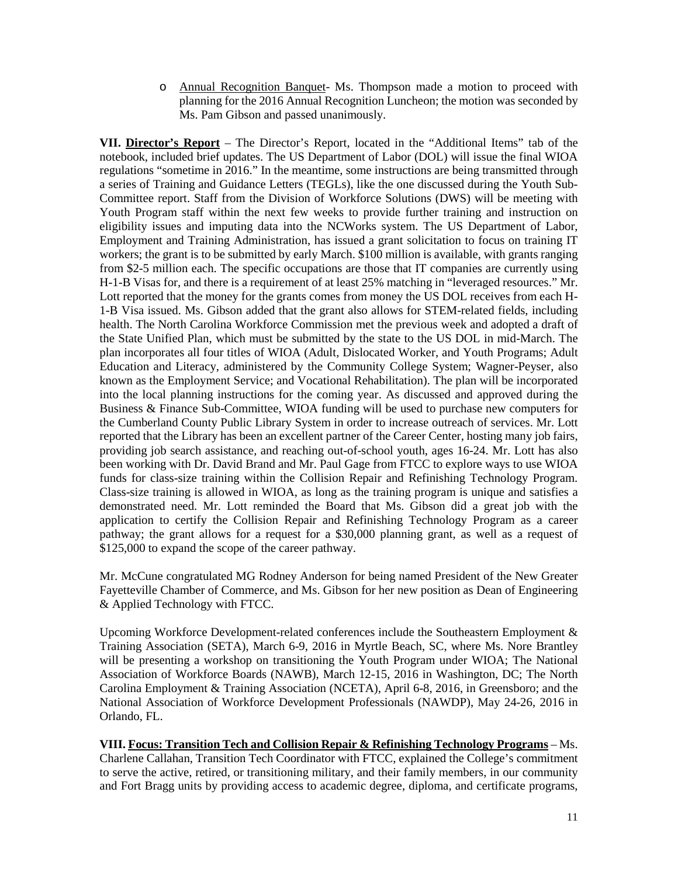o Annual Recognition Banquet- Ms. Thompson made a motion to proceed with planning for the 2016 Annual Recognition Luncheon; the motion was seconded by Ms. Pam Gibson and passed unanimously.

**VII. Director's Report** – The Director's Report, located in the "Additional Items" tab of the notebook, included brief updates. The US Department of Labor (DOL) will issue the final WIOA regulations "sometime in 2016." In the meantime, some instructions are being transmitted through a series of Training and Guidance Letters (TEGLs), like the one discussed during the Youth Sub-Committee report. Staff from the Division of Workforce Solutions (DWS) will be meeting with Youth Program staff within the next few weeks to provide further training and instruction on eligibility issues and imputing data into the NCWorks system. The US Department of Labor, Employment and Training Administration, has issued a grant solicitation to focus on training IT workers; the grant is to be submitted by early March. \$100 million is available, with grants ranging from \$2-5 million each. The specific occupations are those that IT companies are currently using H-1-B Visas for, and there is a requirement of at least 25% matching in "leveraged resources." Mr. Lott reported that the money for the grants comes from money the US DOL receives from each H-1-B Visa issued. Ms. Gibson added that the grant also allows for STEM-related fields, including health. The North Carolina Workforce Commission met the previous week and adopted a draft of the State Unified Plan, which must be submitted by the state to the US DOL in mid-March. The plan incorporates all four titles of WIOA (Adult, Dislocated Worker, and Youth Programs; Adult Education and Literacy, administered by the Community College System; Wagner-Peyser, also known as the Employment Service; and Vocational Rehabilitation). The plan will be incorporated into the local planning instructions for the coming year. As discussed and approved during the Business & Finance Sub-Committee, WIOA funding will be used to purchase new computers for the Cumberland County Public Library System in order to increase outreach of services. Mr. Lott reported that the Library has been an excellent partner of the Career Center, hosting many job fairs, providing job search assistance, and reaching out-of-school youth, ages 16-24. Mr. Lott has also been working with Dr. David Brand and Mr. Paul Gage from FTCC to explore ways to use WIOA funds for class-size training within the Collision Repair and Refinishing Technology Program. Class-size training is allowed in WIOA, as long as the training program is unique and satisfies a demonstrated need. Mr. Lott reminded the Board that Ms. Gibson did a great job with the application to certify the Collision Repair and Refinishing Technology Program as a career pathway; the grant allows for a request for a \$30,000 planning grant, as well as a request of \$125,000 to expand the scope of the career pathway.

Mr. McCune congratulated MG Rodney Anderson for being named President of the New Greater Fayetteville Chamber of Commerce, and Ms. Gibson for her new position as Dean of Engineering & Applied Technology with FTCC.

Upcoming Workforce Development-related conferences include the Southeastern Employment & Training Association (SETA), March 6-9, 2016 in Myrtle Beach, SC, where Ms. Nore Brantley will be presenting a workshop on transitioning the Youth Program under WIOA; The National Association of Workforce Boards (NAWB), March 12-15, 2016 in Washington, DC; The North Carolina Employment & Training Association (NCETA), April 6-8, 2016, in Greensboro; and the National Association of Workforce Development Professionals (NAWDP), May 24-26, 2016 in Orlando, FL.

**VIII. Focus: Transition Tech and Collision Repair & Refinishing Technology Programs** – Ms. Charlene Callahan, Transition Tech Coordinator with FTCC, explained the College's commitment to serve the active, retired, or transitioning military, and their family members, in our community and Fort Bragg units by providing access to academic degree, diploma, and certificate programs,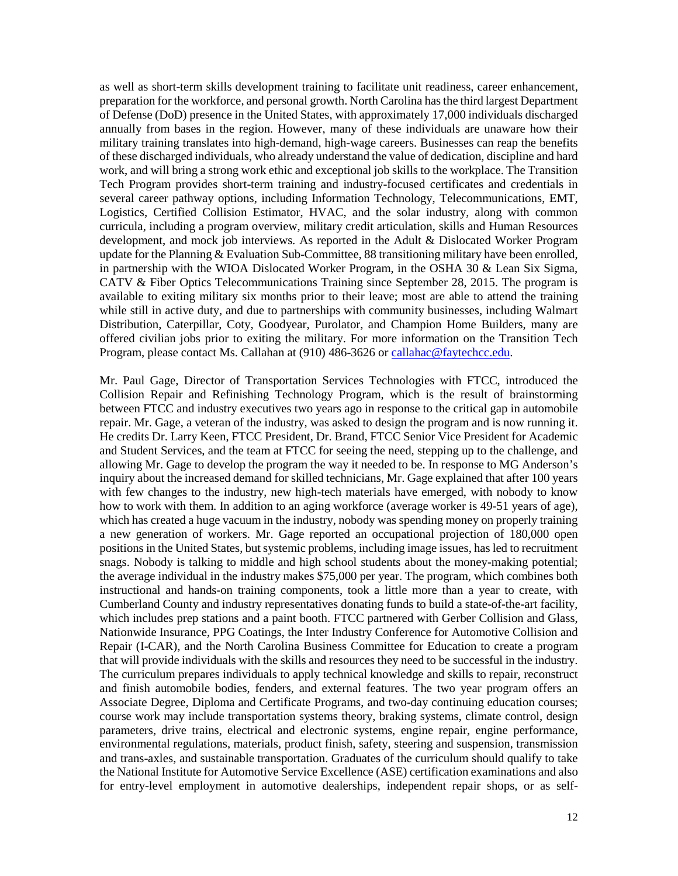as well as short-term skills development training to facilitate unit readiness, career enhancement, preparation for the workforce, and personal growth. North Carolina has the third largest Department of Defense (DoD) presence in the United States, with approximately 17,000 individuals discharged annually from bases in the region. However, many of these individuals are unaware how their military training translates into high-demand, high-wage careers. Businesses can reap the benefits of these discharged individuals, who already understand the value of dedication, discipline and hard work, and will bring a strong work ethic and exceptional job skills to the workplace. The Transition Tech Program provides short-term training and industry-focused certificates and credentials in several career pathway options, including Information Technology, Telecommunications, EMT, Logistics, Certified Collision Estimator, HVAC, and the solar industry, along with common curricula, including a program overview, military credit articulation, skills and Human Resources development, and mock job interviews. As reported in the Adult & Dislocated Worker Program update for the Planning  $&$  Evaluation Sub-Committee, 88 transitioning military have been enrolled, in partnership with the WIOA Dislocated Worker Program, in the OSHA 30 & Lean Six Sigma, CATV & Fiber Optics Telecommunications Training since September 28, 2015. The program is available to exiting military six months prior to their leave; most are able to attend the training while still in active duty, and due to partnerships with community businesses, including Walmart Distribution, Caterpillar, Coty, Goodyear, Purolator, and Champion Home Builders, many are offered civilian jobs prior to exiting the military. For more information on the Transition Tech Program, please contact Ms. Callahan at (910) 486-3626 or [callahac@faytechcc.edu.](mailto:callahac@faytechcc.edu)

Mr. Paul Gage, Director of Transportation Services Technologies with FTCC, introduced the Collision Repair and Refinishing Technology Program, which is the result of brainstorming between FTCC and industry executives two years ago in response to the critical gap in automobile repair. Mr. Gage, a veteran of the industry, was asked to design the program and is now running it. He credits Dr. Larry Keen, FTCC President, Dr. Brand, FTCC Senior Vice President for Academic and Student Services, and the team at FTCC for seeing the need, stepping up to the challenge, and allowing Mr. Gage to develop the program the way it needed to be. In response to MG Anderson's inquiry about the increased demand for skilled technicians, Mr. Gage explained that after 100 years with few changes to the industry, new high-tech materials have emerged, with nobody to know how to work with them. In addition to an aging workforce (average worker is 49-51 years of age), which has created a huge vacuum in the industry, nobody was spending money on properly training a new generation of workers. Mr. Gage reported an occupational projection of 180,000 open positions in the United States, but systemic problems, including image issues, has led to recruitment snags. Nobody is talking to middle and high school students about the money-making potential; the average individual in the industry makes \$75,000 per year. The program, which combines both instructional and hands-on training components, took a little more than a year to create, with Cumberland County and industry representatives donating funds to build a state-of-the-art facility, which includes prep stations and a paint booth. FTCC partnered with Gerber Collision and Glass, Nationwide Insurance, PPG Coatings, the Inter Industry Conference for Automotive Collision and Repair (I-CAR), and the North Carolina Business Committee for Education to create a program that will provide individuals with the skills and resources they need to be successful in the industry. The curriculum prepares individuals to apply technical knowledge and skills to repair, reconstruct and finish automobile bodies, fenders, and external features. The two year program offers an Associate Degree, Diploma and Certificate Programs, and two-day continuing education courses; course work may include transportation systems theory, braking systems, climate control, design parameters, drive trains, electrical and electronic systems, engine repair, engine performance, environmental regulations, materials, product finish, safety, steering and suspension, transmission and trans-axles, and sustainable transportation. Graduates of the curriculum should qualify to take the National Institute for Automotive Service Excellence (ASE) certification examinations and also for entry-level employment in automotive dealerships, independent repair shops, or as self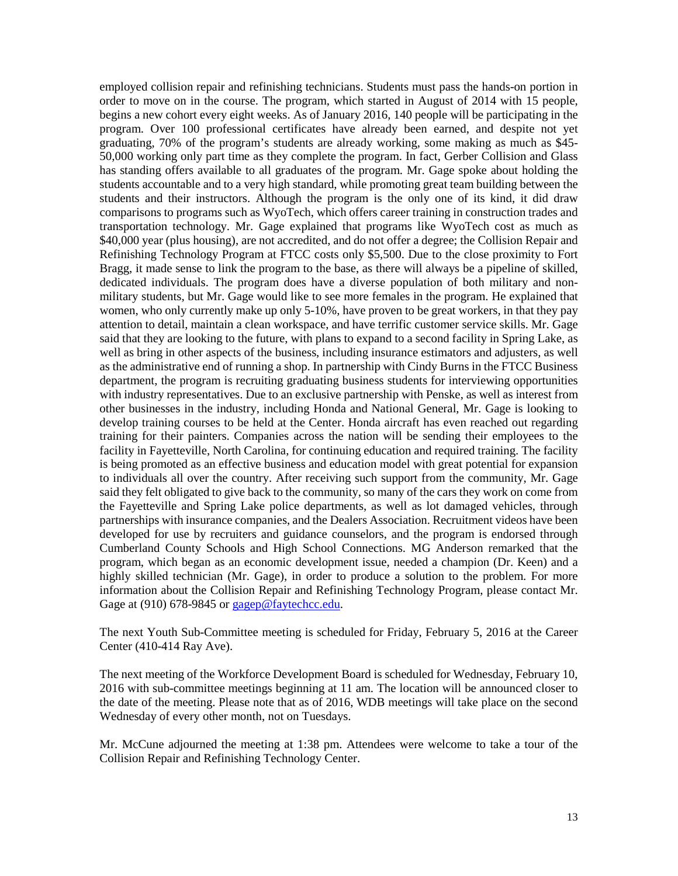employed collision repair and refinishing technicians. Students must pass the hands-on portion in order to move on in the course. The program, which started in August of 2014 with 15 people, begins a new cohort every eight weeks. As of January 2016, 140 people will be participating in the program. Over 100 professional certificates have already been earned, and despite not yet graduating, 70% of the program's students are already working, some making as much as \$45- 50,000 working only part time as they complete the program. In fact, Gerber Collision and Glass has standing offers available to all graduates of the program. Mr. Gage spoke about holding the students accountable and to a very high standard, while promoting great team building between the students and their instructors. Although the program is the only one of its kind, it did draw comparisons to programs such as WyoTech, which offers career training in construction trades and transportation technology. Mr. Gage explained that programs like WyoTech cost as much as \$40,000 year (plus housing), are not accredited, and do not offer a degree; the Collision Repair and Refinishing Technology Program at FTCC costs only \$5,500. Due to the close proximity to Fort Bragg, it made sense to link the program to the base, as there will always be a pipeline of skilled, dedicated individuals. The program does have a diverse population of both military and nonmilitary students, but Mr. Gage would like to see more females in the program. He explained that women, who only currently make up only 5-10%, have proven to be great workers, in that they pay attention to detail, maintain a clean workspace, and have terrific customer service skills. Mr. Gage said that they are looking to the future, with plans to expand to a second facility in Spring Lake, as well as bring in other aspects of the business, including insurance estimators and adjusters, as well as the administrative end of running a shop. In partnership with Cindy Burns in the FTCC Business department, the program is recruiting graduating business students for interviewing opportunities with industry representatives. Due to an exclusive partnership with Penske, as well as interest from other businesses in the industry, including Honda and National General, Mr. Gage is looking to develop training courses to be held at the Center. Honda aircraft has even reached out regarding training for their painters. Companies across the nation will be sending their employees to the facility in Fayetteville, North Carolina, for continuing education and required training. The facility is being promoted as an effective business and education model with great potential for expansion to individuals all over the country. After receiving such support from the community, Mr. Gage said they felt obligated to give back to the community, so many of the cars they work on come from the Fayetteville and Spring Lake police departments, as well as lot damaged vehicles, through partnerships with insurance companies, and the Dealers Association. Recruitment videos have been developed for use by recruiters and guidance counselors, and the program is endorsed through Cumberland County Schools and High School Connections. MG Anderson remarked that the program, which began as an economic development issue, needed a champion (Dr. Keen) and a highly skilled technician (Mr. Gage), in order to produce a solution to the problem. For more information about the Collision Repair and Refinishing Technology Program, please contact Mr. Gage at (910) 678-9845 or [gagep@faytechcc.edu.](mailto:gagep@faytechcc.edu)

The next Youth Sub-Committee meeting is scheduled for Friday, February 5, 2016 at the Career Center (410-414 Ray Ave).

The next meeting of the Workforce Development Board is scheduled for Wednesday, February 10, 2016 with sub-committee meetings beginning at 11 am. The location will be announced closer to the date of the meeting. Please note that as of 2016, WDB meetings will take place on the second Wednesday of every other month, not on Tuesdays.

Mr. McCune adjourned the meeting at 1:38 pm. Attendees were welcome to take a tour of the Collision Repair and Refinishing Technology Center.